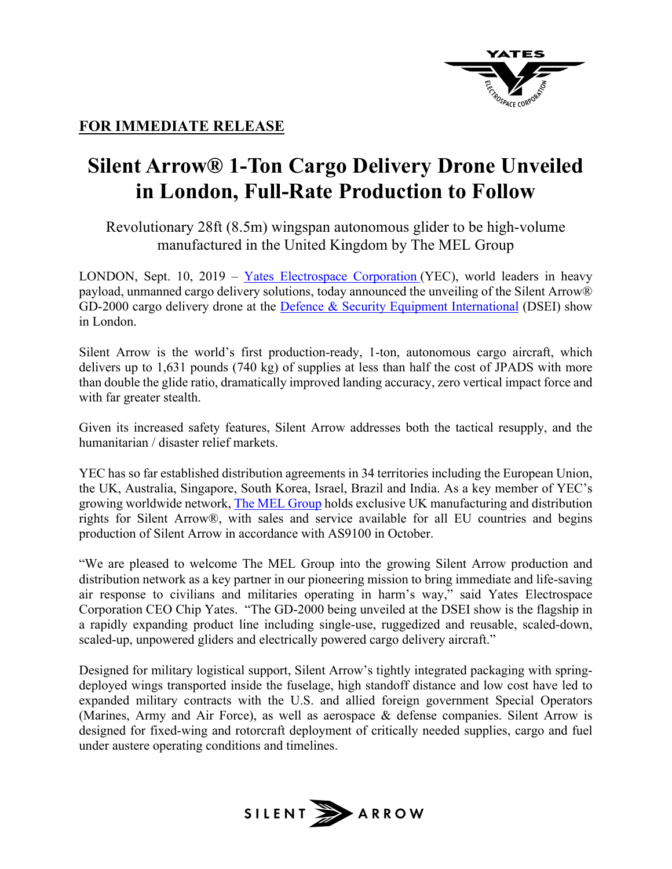

## **FOR IMMEDIATE RELEASE**

## **Silent Arrow® 1-Ton Cargo Delivery Drone Unveiled in London, Full-Rate Production to Follow**

Revolutionary 28ft (8.5m) wingspan autonomous glider to be high-volume manufactured in the United Kingdom by The MEL Group

LONDON, Sept.  $10$ ,  $2019 - Y$ ates Electrospace Corporation (YEC), world leaders in heavy payload, unmanned cargo delivery solutions, today announced the unveiling of the Silent Arrow® GD-2000 cargo delivery drone at the Defence & Security Equipment International (DSEI) show in London.

Silent Arrow is the world's first production-ready, 1-ton, autonomous cargo aircraft, which delivers up to 1,631 pounds (740 kg) of supplies at less than half the cost of JPADS with more than double the glide ratio, dramatically improved landing accuracy, zero vertical impact force and with far greater stealth.

Given its increased safety features, Silent Arrow addresses both the tactical resupply, and the humanitarian / disaster relief markets.

YEC has so far established distribution agreements in 34 territories including the European Union, the UK, Australia, Singapore, South Korea, Israel, Brazil and India. As a key member of YEC's growing worldwide network, The MEL Group holds exclusive UK manufacturing and distribution rights for Silent Arrow®, with sales and service available for all EU countries and begins production of Silent Arrow in accordance with AS9100 in October.

"We are pleased to welcome The MEL Group into the growing Silent Arrow production and distribution network as a key partner in our pioneering mission to bring immediate and life-saving air response to civilians and militaries operating in harm's way," said Yates Electrospace Corporation CEO Chip Yates. "The GD-2000 being unveiled at the DSEI show is the flagship in a rapidly expanding product line including single-use, ruggedized and reusable, scaled-down, scaled-up, unpowered gliders and electrically powered cargo delivery aircraft."

Designed for military logistical support, Silent Arrow's tightly integrated packaging with springdeployed wings transported inside the fuselage, high standoff distance and low cost have led to expanded military contracts with the U.S. and allied foreign government Special Operators (Marines, Army and Air Force), as well as aerospace & defense companies. Silent Arrow is designed for fixed-wing and rotorcraft deployment of critically needed supplies, cargo and fuel under austere operating conditions and timelines.